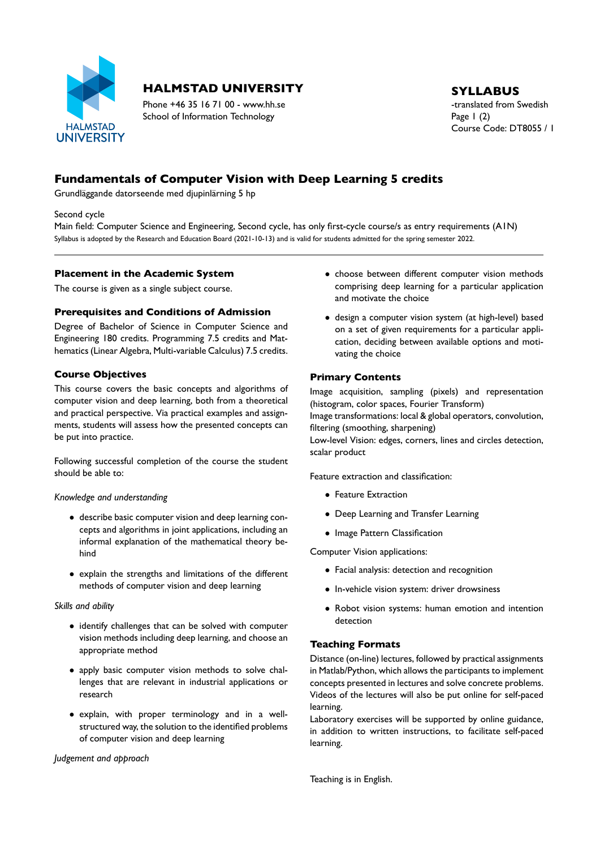

# **HALMSTAD UNIVERSITY** SYLLABUS

Phone +46 35 16 71 00 - www.hh.se the translated from Swedish School of Information Technology Page 1 (2)

# Course Code: DT8055 / 1

# **Fundamentals of Computer Vision with Deep Learning 5 credits**

Grundläggande datorseende med djupinlärning 5 hp

Second cycle

Main field: Computer Science and Engineering, Second cycle, has only first-cycle course/s as entry requirements (A1N) Syllabus is adopted by the Research and Education Board (2021-10-13) and is valid for students admitted for the spring semester 2022.

#### **Placement in the Academic System**

The course is given as a single subject course.

### **Prerequisites and Conditions of Admission**

Degree of Bachelor of Science in Computer Science and Engineering 180 credits. Programming 7.5 credits and Mat hematics (Linear Algebra, Multi-variable Calculus) 7.5 credits.

## **Course Objectives**

This course covers the basic concepts and algorithms of computer vision and deep learning, both from a theoretical and practical perspective. Via practical examples and assign ments, students will assess how the presented concepts can be put into practice.

Following successful completion of the course the student should be able to:

#### *Knowledge and understanding*

- describe basic computer vision and deep learning con cepts and algorithms in joint applications, including an informal explanation of the mathematical theory be hind
- explain the strengths and limitations of the different methods of computer vision and deep learning

#### *Skills and ability*

- identify challenges that can be solved with computer vision methods including deep learning, and choose an appropriate method
- apply basic computer vision methods to solve chal lenges that are relevant in industrial applications or research
- explain, with proper terminology and in a well structured way, the solution to the identified problems of computer vision and deep learning

*Judgement and approach*

- choose between different computer vision methods comprising deep learning for a particular application and motivate the choice
- $\bullet$  design a computer vision system (at high-level) based on a set of given requirements for a particular appli cation, deciding between available options and moti vating the choice

## **Primary Contents**

Image acquisition, sampling (pixels) and representation (histogram, color spaces, Fourier Transform)

Image transformations: local & global operators, convolution, filtering (smoothing, sharpening)

Lowlevel Vision: edges, corners, lines and circles detection, scalar product

Feature extraction and classification:

- Feature Extraction
- Deep Learning and Transfer Learning
- Image Pattern Classification

Computer Vision applications:

- Facial analysis: detection and recognition
- In-vehicle vision system: driver drowsiness
- Robot vision systems: human emotion and intention detection

## **Teaching Formats**

Distance (on-line) lectures, followed by practical assignments in Matlab/Python, which allows the participants to implement concepts presented in lectures and solve concrete problems. Videos of the lectures will also be put online for self-paced learning.

Laboratory exercises will be supported by online guidance, in addition to written instructions, to facilitate self-paced learning.

Teaching is in English.